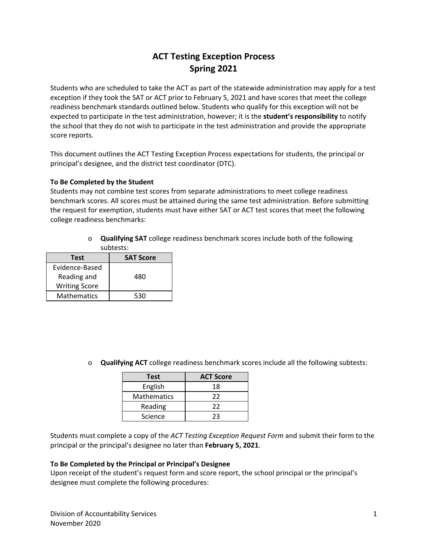## **ACT Testing Exception Process Spring 2021**

Students who are scheduled to take the ACT as part of the statewide administration may apply for a test exception if they took the SAT or ACT prior to February 5, 2021 and have scores that meet the college readiness benchmark standards outlined below. Students who qualify for this exception will not be expected to participate in the test administration, however; it is the **student's responsibility** to notify the school that they do not wish to participate in the test administration and provide the appropriate score reports.

This document outlines the ACT Testing Exception Process expectations for students, the principal or principal's designee, and the district test coordinator (DTC).

#### **To Be Completed by the Student**

Students may not combine test scores from separate administrations to meet college readiness benchmark scores. All scores must be attained during the same test administration. Before submitting the request for exemption, students must have either SAT or ACT test scores that meet the following college readiness benchmarks:

> o **Qualifying SAT** college readiness benchmark scores include both of the following subtests:

| Test                 | <b>SAT Score</b> |
|----------------------|------------------|
| Evidence-Based       |                  |
| Reading and          | 480              |
| <b>Writing Score</b> |                  |
| <b>Mathematics</b>   | 530              |

o **Qualifying ACT** college readiness benchmark scores include all the following subtests:

| <b>Test</b>        | <b>ACT Score</b> |
|--------------------|------------------|
| English            | 18               |
| <b>Mathematics</b> | 22               |
| Reading            | 22               |
| Science            | フス               |

Students must complete a copy of the *ACT Testing Exception Request Form* and submit their form to the principal or the principal's designee no later than **February 5, 2021**.

#### **To Be Completed by the Principal or Principal's Designee**

Upon receipt of the student's request form and score report, the school principal or the principal's designee must complete the following procedures: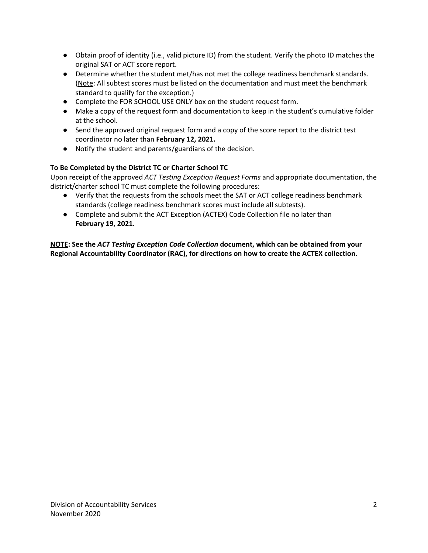- Obtain proof of identity (i.e., valid picture ID) from the student. Verify the photo ID matches the original SAT or ACT score report.
- Determine whether the student met/has not met the college readiness benchmark standards. (Note: All subtest scores must be listed on the documentation and must meet the benchmark standard to qualify for the exception.)
- Complete the FOR SCHOOL USE ONLY box on the student request form.
- Make a copy of the request form and documentation to keep in the student's cumulative folder at the school.
- Send the approved original request form and a copy of the score report to the district test coordinator no later than **February 12, 2021.**
- Notify the student and parents/guardians of the decision.

#### **To Be Completed by the District TC or Charter School TC**

Upon receipt of the approved *ACT Testing Exception Request Forms* and appropriate documentation, the district/charter school TC must complete the following procedures:

- Verify that the requests from the schools meet the SAT or ACT college readiness benchmark standards (college readiness benchmark scores must include all subtests).
- Complete and submit the ACT Exception (ACTEX) Code Collection file no later than **February 19, 2021***.*

**NOTE: See the** *ACT Testing Exception Code Collection* **document, which can be obtained from your Regional Accountability Coordinator (RAC), for directions on how to create the ACTEX collection.**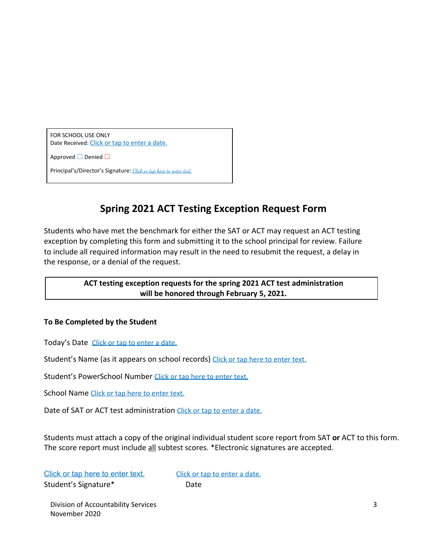FOR SCHOOL USE ONLY Date Received: Click or tap to enter a date.

Approved □ Denied □

Principal's/Director's Signature: Click or tap here to enter text.

# **Spring 2021 ACT Testing Exception Request Form**

Students who have met the benchmark for either the SAT or ACT may request an ACT testing exception by completing this form and submitting it to the school principal for review. Failure to include all required information may result in the need to resubmit the request, a delay in the response, or a denial of the request.

### **ACT testing exception requests for the spring 2021 ACT test administration will be honored through February 5, 2021.**

### **To Be Completed by the Student**

Today's Date Click or tap to enter a date.

Student's Name (as it appears on school records) Click or tap here to enter text.

Student's PowerSchool Number Click or tap here to enter text.

School Name Click or tap here to enter text.

Date of SAT or ACT test administration Click or tap to enter a date.

Students must attach a copy of the original individual student score report from SAT **or** ACT to this form. The score report must include all subtest scores. \*Electronic signatures are accepted.

Click or tap here to enter text. Click or tap to enter a date. Student's Signature\* Date

Division of Accountability Services 3 November 2020